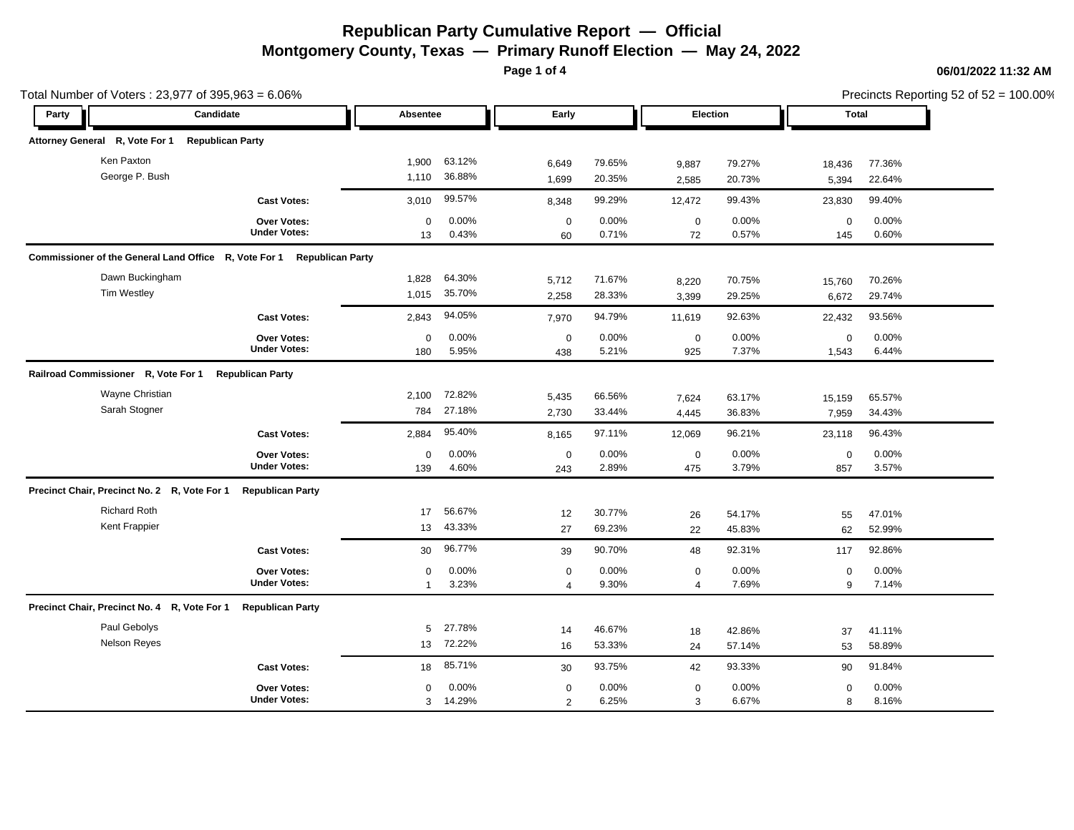**Page 1 of 4**

|                                    |                                                                                                                                                                                                             |                                  |                               |                  |                               |                  |                      | Precincts Reporting 52 of 52 = 100.00% |                           |
|------------------------------------|-------------------------------------------------------------------------------------------------------------------------------------------------------------------------------------------------------------|----------------------------------|-------------------------------|------------------|-------------------------------|------------------|----------------------|----------------------------------------|---------------------------|
| Candidate<br>Party                 |                                                                                                                                                                                                             | Absentee                         |                               | Early            |                               | <b>Election</b>  |                      |                                        |                           |
|                                    |                                                                                                                                                                                                             |                                  |                               |                  |                               |                  |                      |                                        |                           |
|                                    | 1,900                                                                                                                                                                                                       | 63.12%                           |                               | 79.65%           |                               |                  |                      |                                        |                           |
|                                    | 1,110                                                                                                                                                                                                       | 36.88%                           | 1,699                         | 20.35%           | 2,585                         | 20.73%           | 5,394                | 22.64%                                 |                           |
| <b>Cast Votes:</b>                 | 3,010                                                                                                                                                                                                       | 99.57%                           | 8,348                         | 99.29%           | 12,472                        | 99.43%           | 23,830               | 99.40%                                 |                           |
| Over Votes:<br><b>Under Votes:</b> | $\Omega$<br>13                                                                                                                                                                                              | 0.00%<br>0.43%                   | $\mathbf 0$<br>60             | 0.00%<br>0.71%   | $\mathbf 0$<br>72             | 0.00%<br>0.57%   | $\mathbf 0$<br>145   | 0.00%<br>0.60%                         |                           |
|                                    |                                                                                                                                                                                                             |                                  |                               |                  |                               |                  |                      |                                        |                           |
|                                    | 1,828                                                                                                                                                                                                       | 64.30%                           | 5,712                         | 71.67%           | 8,220                         | 70.75%           | 15,760               | 70.26%                                 |                           |
| <b>Cast Votes:</b>                 | 2,843                                                                                                                                                                                                       | 94.05%                           | 7,970                         | 94.79%           | 11,619                        | 92.63%           | 22,432               | 93.56%                                 |                           |
| Over Votes:<br><b>Under Votes:</b> | $\Omega$<br>180                                                                                                                                                                                             | 0.00%<br>5.95%                   | $\mathbf 0$<br>438            | 0.00%<br>5.21%   | $\mathbf 0$<br>925            | 0.00%<br>7.37%   | $\mathbf 0$<br>1,543 | 0.00%<br>6.44%                         |                           |
|                                    |                                                                                                                                                                                                             |                                  |                               |                  |                               |                  |                      |                                        |                           |
|                                    | 2,100<br>784                                                                                                                                                                                                | 72.82%<br>27.18%                 | 5,435<br>2,730                | 66.56%<br>33.44% | 7,624<br>4,445                | 63.17%<br>36.83% | 15,159<br>7,959      | 65.57%<br>34.43%                       |                           |
| <b>Cast Votes:</b>                 | 2,884                                                                                                                                                                                                       | 95.40%                           | 8,165                         | 97.11%           | 12,069                        | 96.21%           | 23,118               | 96.43%                                 |                           |
| Over Votes:<br><b>Under Votes:</b> | $\mathbf 0$<br>139                                                                                                                                                                                          | 0.00%<br>4.60%                   | $\mathbf 0$<br>243            | 0.00%<br>2.89%   | $\mathbf 0$<br>475            | 0.00%<br>3.79%   | $\mathbf 0$<br>857   | 0.00%<br>3.57%                         |                           |
| <b>Republican Party</b>            |                                                                                                                                                                                                             |                                  |                               |                  |                               |                  |                      |                                        |                           |
|                                    | 17<br>13                                                                                                                                                                                                    | 56.67%<br>43.33%                 | 12<br>27                      | 30.77%<br>69.23% | 26<br>22                      | 54.17%<br>45.83% | 55<br>62             | 47.01%<br>52.99%                       |                           |
| <b>Cast Votes:</b>                 | 30                                                                                                                                                                                                          | 96.77%                           | 39                            | 90.70%           | 48                            | 92.31%           | 117                  | 92.86%                                 |                           |
| Over Votes:<br><b>Under Votes:</b> | $\mathbf 0$<br>$\mathbf{1}$                                                                                                                                                                                 | 0.00%<br>3.23%                   | $\mathbf 0$<br>$\overline{4}$ | 0.00%<br>9.30%   | $\mathbf 0$<br>$\overline{4}$ | 0.00%<br>7.69%   | $\mathbf 0$<br>9     | 0.00%<br>7.14%                         |                           |
| <b>Republican Party</b>            |                                                                                                                                                                                                             |                                  |                               |                  |                               |                  |                      |                                        |                           |
|                                    | 5                                                                                                                                                                                                           | 27.78%                           | 14                            | 46.67%           | 18                            | 42.86%           | 37                   | 41.11%                                 |                           |
|                                    | 13                                                                                                                                                                                                          | 72.22%                           | 16                            | 53.33%           | 24                            | 57.14%           | 53                   | 58.89%                                 |                           |
| <b>Cast Votes:</b>                 | 18                                                                                                                                                                                                          | 85.71%                           | 30                            | 93.75%           | 42                            | 93.33%           | 90                   | 91.84%                                 |                           |
| Over Votes:<br><b>Under Votes:</b> | $\mathbf 0$<br>$\mathbf{3}$                                                                                                                                                                                 | 0.00%<br>14.29%                  | $\mathbf 0$<br>2              | 0.00%<br>6.25%   | $\mathbf 0$<br>3              | 0.00%<br>6.67%   | $\mathbf 0$<br>8     | 0.00%<br>8.16%                         |                           |
|                                    | <b>Republican Party</b><br>Commissioner of the General Land Office R, Vote For 1<br><b>Republican Party</b><br>Precinct Chair, Precinct No. 2 R, Vote For 1<br>Precinct Chair, Precinct No. 4 R, Vote For 1 | <b>Republican Party</b><br>1.015 | 35.70%                        | 6,649<br>2,258   | 28.33%                        | 9,887<br>3,399   | 79.27%<br>29.25%     | 18,436<br>6,672                        | Total<br>77.36%<br>29.74% |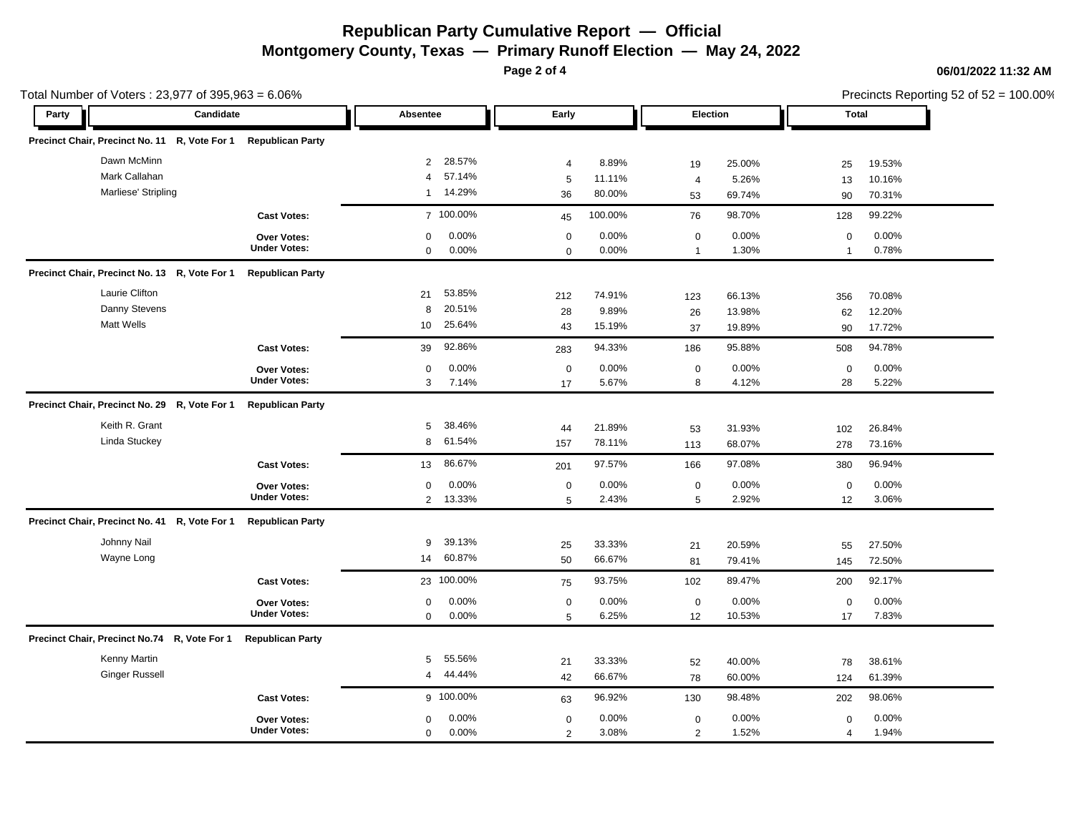**Page 2 of 4**

| Total Number of Voters: 23,977 of 395,963 = 6.06% |  |                         |                |            |                |         |                |        |                | Precincts Reporting 52 of 52 = 100.00% |  |
|---------------------------------------------------|--|-------------------------|----------------|------------|----------------|---------|----------------|--------|----------------|----------------------------------------|--|
| Candidate<br>Party                                |  |                         | Absentee       |            | Early          |         | Election       |        | Total          |                                        |  |
| Precinct Chair, Precinct No. 11 R, Vote For 1     |  | <b>Republican Party</b> |                |            |                |         |                |        |                |                                        |  |
| Dawn McMinn                                       |  |                         | $\overline{2}$ | 28.57%     | $\overline{4}$ | 8.89%   | 19             | 25.00% | 25             | 19.53%                                 |  |
| Mark Callahan                                     |  |                         | 4              | 57.14%     | $\sqrt{5}$     | 11.11%  | 4              | 5.26%  | 13             | 10.16%                                 |  |
| Marliese' Stripling                               |  |                         | $\mathbf{1}$   | 14.29%     | 36             | 80.00%  | 53             | 69.74% | 90             | 70.31%                                 |  |
|                                                   |  | <b>Cast Votes:</b>      |                | 7 100.00%  | 45             | 100.00% | 76             | 98.70% | 128            | 99.22%                                 |  |
|                                                   |  | Over Votes:             | $\mathbf 0$    | 0.00%      | $\mathbf 0$    | 0.00%   | $\mathbf 0$    | 0.00%  | $\mathbf 0$    | 0.00%                                  |  |
|                                                   |  | <b>Under Votes:</b>     | $\mathbf 0$    | 0.00%      | $\Omega$       | 0.00%   | $\mathbf{1}$   | 1.30%  | $\overline{1}$ | 0.78%                                  |  |
| Precinct Chair, Precinct No. 13 R, Vote For 1     |  | <b>Republican Party</b> |                |            |                |         |                |        |                |                                        |  |
| Laurie Clifton                                    |  |                         | 21             | 53.85%     | 212            | 74.91%  | 123            | 66.13% | 356            | 70.08%                                 |  |
| Danny Stevens                                     |  |                         | 8              | 20.51%     | 28             | 9.89%   | 26             | 13.98% | 62             | 12.20%                                 |  |
| <b>Matt Wells</b>                                 |  |                         | 10             | 25.64%     | 43             | 15.19%  | 37             | 19.89% | 90             | 17.72%                                 |  |
|                                                   |  | <b>Cast Votes:</b>      | 39             | 92.86%     | 283            | 94.33%  | 186            | 95.88% | 508            | 94.78%                                 |  |
|                                                   |  | Over Votes:             | 0              | 0.00%      | $\mathbf 0$    | 0.00%   | $\mathbf 0$    | 0.00%  | $\mathbf 0$    | 0.00%                                  |  |
|                                                   |  | <b>Under Votes:</b>     | 3              | 7.14%      | 17             | 5.67%   | 8              | 4.12%  | 28             | 5.22%                                  |  |
| Precinct Chair, Precinct No. 29 R, Vote For 1     |  | <b>Republican Party</b> |                |            |                |         |                |        |                |                                        |  |
| Keith R. Grant                                    |  |                         | 5              | 38.46%     | 44             | 21.89%  | 53             | 31.93% | 102            | 26.84%                                 |  |
| Linda Stuckey                                     |  |                         | 8              | 61.54%     | 157            | 78.11%  | 113            | 68.07% | 278            | 73.16%                                 |  |
|                                                   |  | <b>Cast Votes:</b>      | 13             | 86.67%     | 201            | 97.57%  | 166            | 97.08% | 380            | 96.94%                                 |  |
|                                                   |  | Over Votes:             | $\mathbf 0$    | 0.00%      | $\mathbf 0$    | 0.00%   | $\mathbf 0$    | 0.00%  | $\mathbf 0$    | 0.00%                                  |  |
|                                                   |  | <b>Under Votes:</b>     |                | 2 13.33%   | 5              | 2.43%   | 5              | 2.92%  | 12             | 3.06%                                  |  |
| Precinct Chair, Precinct No. 41 R, Vote For 1     |  | <b>Republican Party</b> |                |            |                |         |                |        |                |                                        |  |
| Johnny Nail                                       |  |                         | 9              | 39.13%     | 25             | 33.33%  | 21             | 20.59% | 55             | 27.50%                                 |  |
| Wayne Long                                        |  |                         | 14             | 60.87%     | 50             | 66.67%  | 81             | 79.41% | 145            | 72.50%                                 |  |
|                                                   |  | <b>Cast Votes:</b>      |                | 23 100.00% | 75             | 93.75%  | 102            | 89.47% | 200            | 92.17%                                 |  |
|                                                   |  | <b>Over Votes:</b>      | 0              | 0.00%      | $\mathbf 0$    | 0.00%   | $\mathbf 0$    | 0.00%  | $\mathbf 0$    | 0.00%                                  |  |
|                                                   |  | <b>Under Votes:</b>     | $\mathbf 0$    | 0.00%      | 5              | 6.25%   | 12             | 10.53% | 17             | 7.83%                                  |  |
| Precinct Chair, Precinct No.74 R, Vote For 1      |  | <b>Republican Party</b> |                |            |                |         |                |        |                |                                        |  |
| Kenny Martin                                      |  |                         | 5              | 55.56%     | 21             | 33.33%  | 52             | 40.00% | 78             | 38.61%                                 |  |
| <b>Ginger Russell</b>                             |  |                         | 4              | 44.44%     | 42             | 66.67%  | 78             | 60.00% | 124            | 61.39%                                 |  |
|                                                   |  | <b>Cast Votes:</b>      |                | 9 100.00%  | 63             | 96.92%  | 130            | 98.48% | 202            | 98.06%                                 |  |
|                                                   |  | <b>Over Votes:</b>      | $\mathbf 0$    | 0.00%      | $\mathbf 0$    | 0.00%   | $\mathbf 0$    | 0.00%  | $\mathbf 0$    | 0.00%                                  |  |
|                                                   |  | <b>Under Votes:</b>     | $\mathbf 0$    | 0.00%      | $\mathcal{P}$  | 3.08%   | $\overline{2}$ | 1.52%  | $\overline{4}$ | 1.94%                                  |  |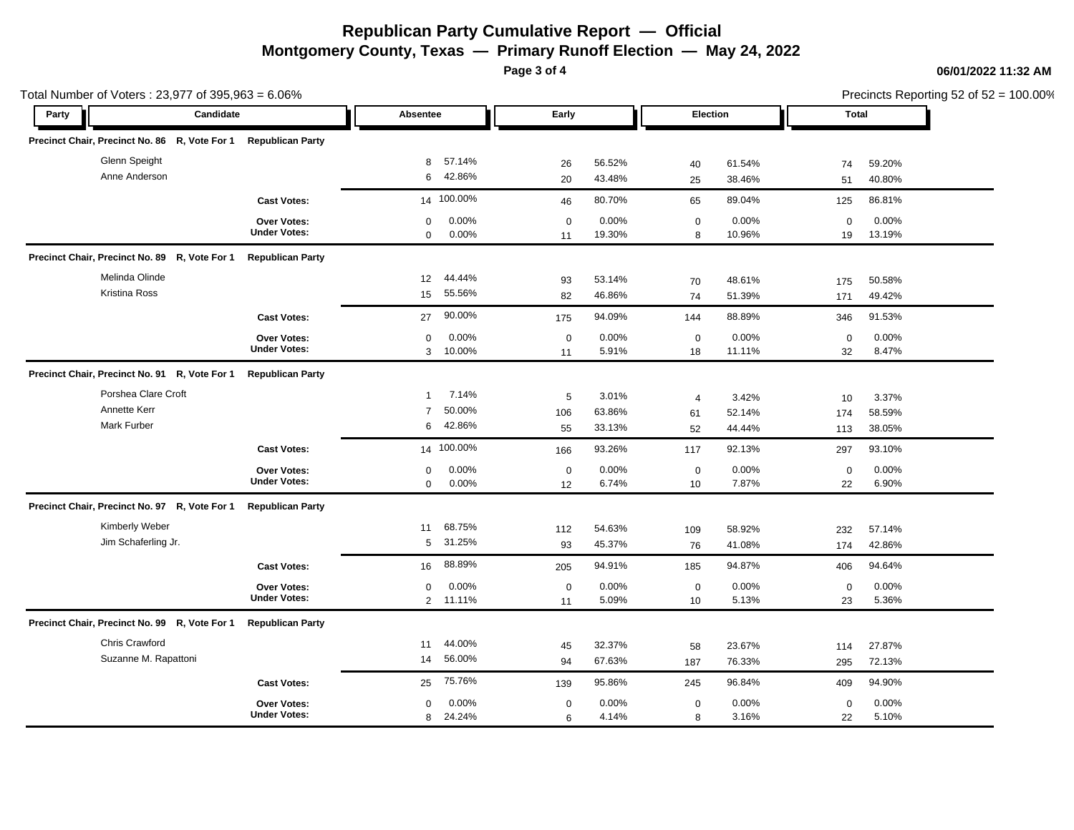**Page 3 of 4**

| Total Number of Voters: 23,977 of 395,963 = 6.06% |                         |                |            |             |        |                |                 | Precincts Reporting 52 of 52 = 100.00% |        |  |
|---------------------------------------------------|-------------------------|----------------|------------|-------------|--------|----------------|-----------------|----------------------------------------|--------|--|
| Candidate<br>Party                                |                         | Absentee       |            | Early       |        |                | <b>Election</b> |                                        | Total  |  |
| Precinct Chair, Precinct No. 86 R, Vote For 1     | <b>Republican Party</b> |                |            |             |        |                |                 |                                        |        |  |
| Glenn Speight                                     |                         | 8              | 57.14%     | 26          | 56.52% | 40             | 61.54%          | 74                                     | 59.20% |  |
| Anne Anderson                                     |                         | 6              | 42.86%     | 20          | 43.48% | 25             | 38.46%          | 51                                     | 40.80% |  |
|                                                   | <b>Cast Votes:</b>      |                | 14 100.00% | 46          | 80.70% | 65             | 89.04%          | 125                                    | 86.81% |  |
|                                                   | Over Votes:             | $\mathbf 0$    | 0.00%      | $\mathbf 0$ | 0.00%  | $\mathbf 0$    | 0.00%           | $\mathbf 0$                            | 0.00%  |  |
|                                                   | <b>Under Votes:</b>     | $\mathbf 0$    | 0.00%      | 11          | 19.30% | 8              | 10.96%          | 19                                     | 13.19% |  |
| Precinct Chair, Precinct No. 89 R, Vote For 1     | <b>Republican Party</b> |                |            |             |        |                |                 |                                        |        |  |
| Melinda Olinde                                    |                         | 12             | 44.44%     | 93          | 53.14% | 70             | 48.61%          | 175                                    | 50.58% |  |
| <b>Kristina Ross</b>                              |                         | 15             | 55.56%     | 82          | 46.86% | 74             | 51.39%          | 171                                    | 49.42% |  |
|                                                   | <b>Cast Votes:</b>      | 27             | 90.00%     | 175         | 94.09% | 144            | 88.89%          | 346                                    | 91.53% |  |
|                                                   | <b>Over Votes:</b>      | $\mathbf 0$    | 0.00%      | $\mathbf 0$ | 0.00%  | $\mathbf 0$    | 0.00%           | $\mathbf 0$                            | 0.00%  |  |
|                                                   | <b>Under Votes:</b>     | 3              | 10.00%     | 11          | 5.91%  | 18             | 11.11%          | 32                                     | 8.47%  |  |
| Precinct Chair, Precinct No. 91 R, Vote For 1     | <b>Republican Party</b> |                |            |             |        |                |                 |                                        |        |  |
| Porshea Clare Croft                               |                         | $\overline{1}$ | 7.14%      | 5           | 3.01%  | $\overline{4}$ | 3.42%           | 10                                     | 3.37%  |  |
| Annette Kerr                                      |                         | $\overline{7}$ | 50.00%     | 106         | 63.86% | 61             | 52.14%          | 174                                    | 58.59% |  |
| <b>Mark Furber</b>                                |                         | 6              | 42.86%     | 55          | 33.13% | 52             | 44.44%          | 113                                    | 38.05% |  |
|                                                   | <b>Cast Votes:</b>      |                | 14 100.00% | 166         | 93.26% | 117            | 92.13%          | 297                                    | 93.10% |  |
|                                                   | <b>Over Votes:</b>      | $\mathbf 0$    | 0.00%      | $\mathbf 0$ | 0.00%  | $\mathbf 0$    | 0.00%           | $\mathbf 0$                            | 0.00%  |  |
|                                                   | <b>Under Votes:</b>     | $\mathbf 0$    | 0.00%      | 12          | 6.74%  | 10             | 7.87%           | 22                                     | 6.90%  |  |
| Precinct Chair, Precinct No. 97 R, Vote For 1     | <b>Republican Party</b> |                |            |             |        |                |                 |                                        |        |  |
| Kimberly Weber                                    |                         | 11             | 68.75%     | 112         | 54.63% | 109            | 58.92%          | 232                                    | 57.14% |  |
| Jim Schaferling Jr.                               |                         | 5              | 31.25%     | 93          | 45.37% | 76             | 41.08%          | 174                                    | 42.86% |  |
|                                                   | <b>Cast Votes:</b>      | 16             | 88.89%     | 205         | 94.91% | 185            | 94.87%          | 406                                    | 94.64% |  |
|                                                   | <b>Over Votes:</b>      | $\mathbf 0$    | 0.00%      | $\mathbf 0$ | 0.00%  | $\mathbf 0$    | $0.00\%$        | $\mathbf 0$                            | 0.00%  |  |
|                                                   | <b>Under Votes:</b>     | $\overline{2}$ | 11.11%     | 11          | 5.09%  | 10             | 5.13%           | 23                                     | 5.36%  |  |
| Precinct Chair, Precinct No. 99 R, Vote For 1     | <b>Republican Party</b> |                |            |             |        |                |                 |                                        |        |  |
| Chris Crawford                                    |                         | 11             | 44.00%     | 45          | 32.37% | 58             | 23.67%          | 114                                    | 27.87% |  |
| Suzanne M. Rapattoni                              |                         | 14             | 56.00%     | 94          | 67.63% | 187            | 76.33%          | 295                                    | 72.13% |  |
|                                                   | <b>Cast Votes:</b>      | 25             | 75.76%     | 139         | 95.86% | 245            | 96.84%          | 409                                    | 94.90% |  |
|                                                   | <b>Over Votes:</b>      | $\mathbf 0$    | 0.00%      | $\mathbf 0$ | 0.00%  | $\mathbf 0$    | $0.00\%$        | $\mathbf 0$                            | 0.00%  |  |
|                                                   | <b>Under Votes:</b>     |                | 8 24.24%   | 6           | 4.14%  | 8              | 3.16%           | 22                                     | 5.10%  |  |